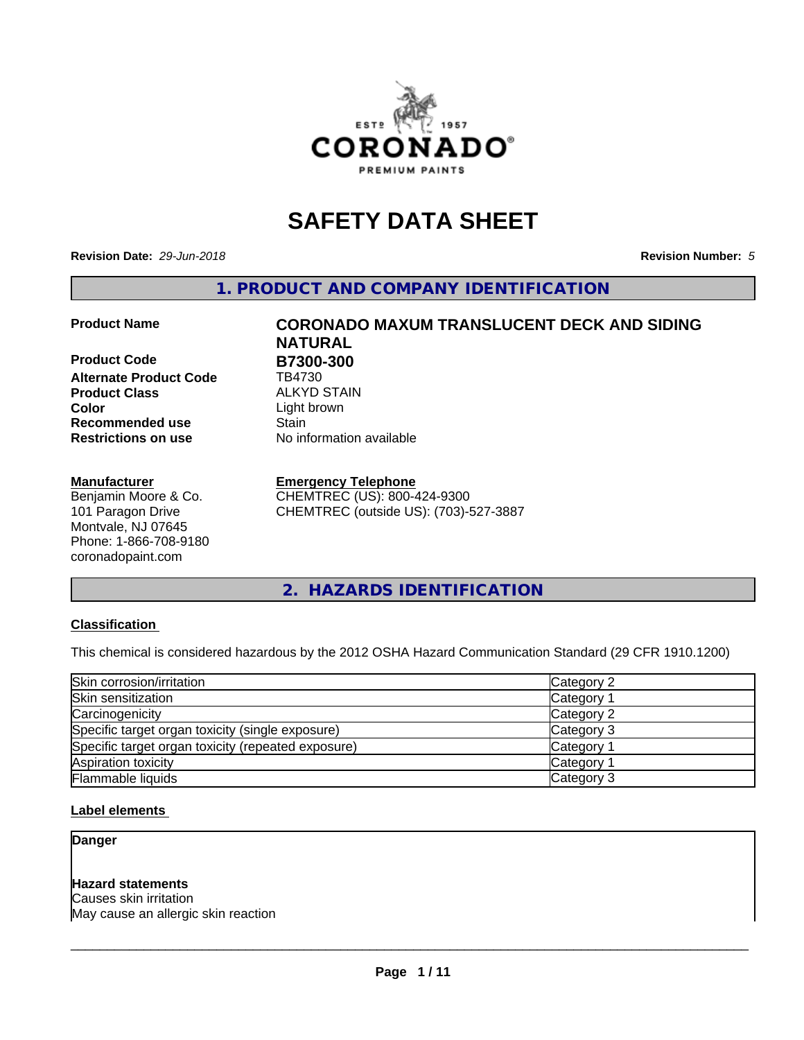

# **SAFETY DATA SHEET**

**Revision Date:** *29-Jun-2018* **Revision Number:** *5*

**1. PRODUCT AND COMPANY IDENTIFICATION**

**Product Code B7300-300**<br> **Alternate Product Code B4730 Alternate Product Code Product Class** ALKYD STAIN<br> **Color** Light brown **Recommended use Stain Restrictions on use** No information available

#### **Manufacturer**

Benjamin Moore & Co. 101 Paragon Drive Montvale, NJ 07645 Phone: 1-866-708-9180 coronadopaint.com

# **Product Name CORONADO MAXUM TRANSLUCENT DECK AND SIDING NATURAL**

Light brown

#### **Emergency Telephone**

CHEMTREC (US): 800-424-9300 CHEMTREC (outside US): (703)-527-3887

**2. HAZARDS IDENTIFICATION**

#### **Classification**

This chemical is considered hazardous by the 2012 OSHA Hazard Communication Standard (29 CFR 1910.1200)

| Skin corrosion/irritation                          | Category 2        |
|----------------------------------------------------|-------------------|
| Skin sensitization                                 | Category 1        |
| Carcinogenicity                                    | Category 2        |
| Specific target organ toxicity (single exposure)   | Category 3        |
| Specific target organ toxicity (repeated exposure) | Category 1        |
| Aspiration toxicity                                | <b>Category 1</b> |
| Flammable liquids                                  | Category 3        |

#### **Label elements**

**Danger**

#### **Hazard statements**

Causes skin irritation May cause an allergic skin reaction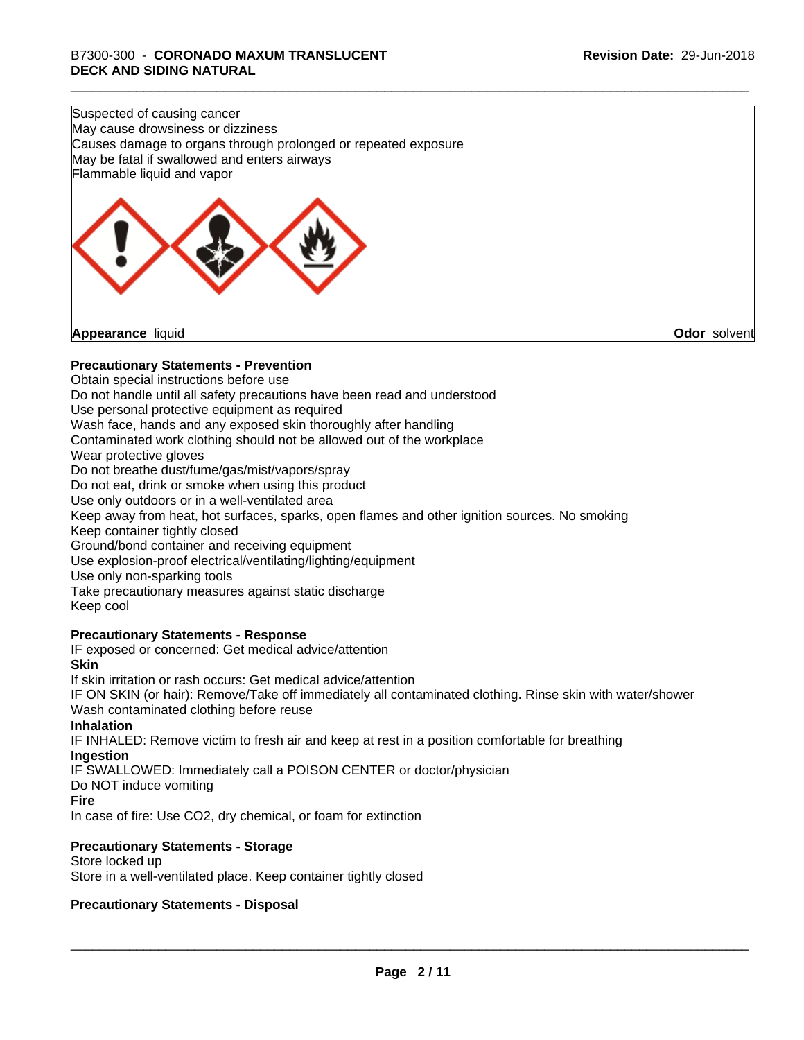Suspected of causing cancer May cause drowsiness or dizziness Causes damage to organs through prolonged or repeated exposure May be fatal if swallowed and enters airways Flammable liquid and vapor

**Appearance** liquid **Odor** solvent

#### **Precautionary Statements - Prevention**

Obtain special instructions before use Do not handle until all safety precautions have been read and understood Use personal protective equipment as required Wash face, hands and any exposed skin thoroughly after handling Contaminated work clothing should not be allowed out of the workplace Wear protective gloves Do not breathe dust/fume/gas/mist/vapors/spray Do not eat, drink or smoke when using this product Use only outdoors or in a well-ventilated area Keep away from heat, hot surfaces, sparks, open flames and other ignition sources. No smoking Keep container tightly closed Ground/bond container and receiving equipment Use explosion-proof electrical/ventilating/lighting/equipment Use only non-sparking tools Take precautionary measures against static discharge Keep cool **Precautionary Statements - Response** IF exposed or concerned: Get medical advice/attention **Skin** If skin irritation or rash occurs: Get medical advice/attention

IF ON SKIN (or hair): Remove/Take off immediately all contaminated clothing. Rinse skin with water/shower Wash contaminated clothing before reuse

#### **Inhalation**

IF INHALED: Remove victim to fresh air and keep at rest in a position comfortable for breathing **Ingestion**

IF SWALLOWED: Immediately call a POISON CENTER or doctor/physician

# Do NOT induce vomiting

**Fire**

In case of fire: Use CO2, dry chemical, or foam for extinction

#### **Precautionary Statements - Storage**

Store locked up Store in a well-ventilated place. Keep container tightly closed

#### **Precautionary Statements - Disposal**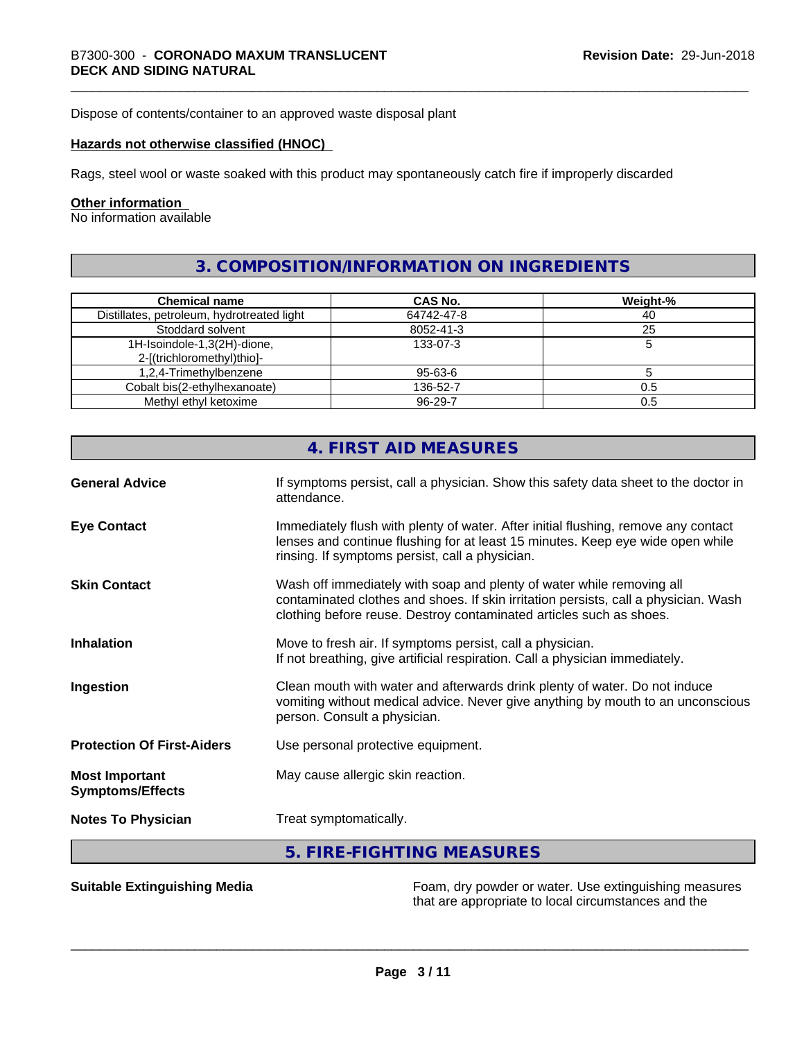Dispose of contents/container to an approved waste disposal plant

#### **Hazards not otherwise classified (HNOC)**

Rags, steel wool or waste soaked with this product may spontaneously catch fire if improperly discarded

#### **Other information**

No information available

# **3. COMPOSITION/INFORMATION ON INGREDIENTS**

| <b>Chemical name</b>                       | <b>CAS No.</b> | Weight-% |
|--------------------------------------------|----------------|----------|
| Distillates, petroleum, hydrotreated light | 64742-47-8     | 40       |
| Stoddard solvent                           | 8052-41-3      | 25       |
| 1H-Isoindole-1,3(2H)-dione,                | 133-07-3       |          |
| 2-[(trichloromethyl)thio]-                 |                |          |
| 1,2,4-Trimethylbenzene                     | 95-63-6        |          |
| Cobalt bis(2-ethylhexanoate)               | 136-52-7       | 0.5      |
| Methyl ethyl ketoxime                      | 96-29-7        | 0.5      |

|                                                  | 4. FIRST AID MEASURES                                                                                                                                                                                                               |
|--------------------------------------------------|-------------------------------------------------------------------------------------------------------------------------------------------------------------------------------------------------------------------------------------|
| <b>General Advice</b>                            | If symptoms persist, call a physician. Show this safety data sheet to the doctor in<br>attendance.                                                                                                                                  |
| <b>Eye Contact</b>                               | Immediately flush with plenty of water. After initial flushing, remove any contact<br>lenses and continue flushing for at least 15 minutes. Keep eye wide open while<br>rinsing. If symptoms persist, call a physician.             |
| <b>Skin Contact</b>                              | Wash off immediately with soap and plenty of water while removing all<br>contaminated clothes and shoes. If skin irritation persists, call a physician. Wash<br>clothing before reuse. Destroy contaminated articles such as shoes. |
| <b>Inhalation</b>                                | Move to fresh air. If symptoms persist, call a physician.<br>If not breathing, give artificial respiration. Call a physician immediately.                                                                                           |
| Ingestion                                        | Clean mouth with water and afterwards drink plenty of water. Do not induce<br>vomiting without medical advice. Never give anything by mouth to an unconscious<br>person. Consult a physician.                                       |
| <b>Protection Of First-Aiders</b>                | Use personal protective equipment.                                                                                                                                                                                                  |
| <b>Most Important</b><br><b>Symptoms/Effects</b> | May cause allergic skin reaction.                                                                                                                                                                                                   |
| <b>Notes To Physician</b>                        | Treat symptomatically.                                                                                                                                                                                                              |
|                                                  | 5. FIRE-FIGHTING MEASURES                                                                                                                                                                                                           |

**Suitable Extinguishing Media** Foam, dry powder or water. Use extinguishing measures that are appropriate to local circumstances and the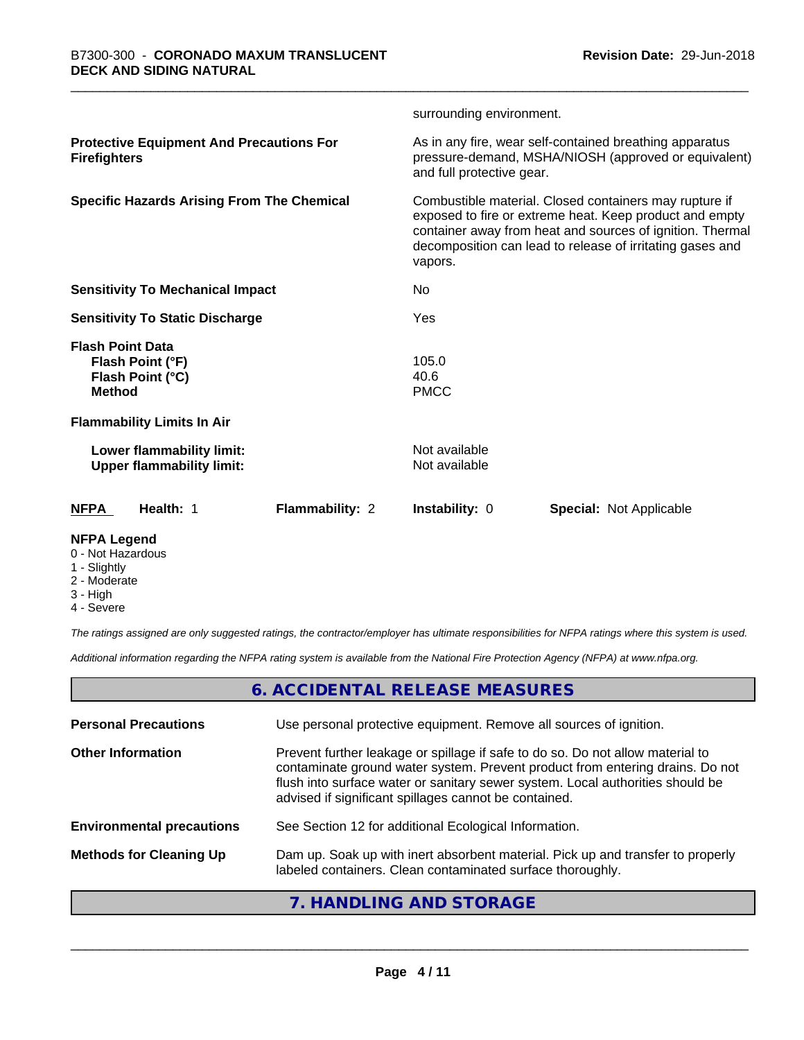|                                                                                  | surrounding environment.                                                                                                                                                                                                                               |
|----------------------------------------------------------------------------------|--------------------------------------------------------------------------------------------------------------------------------------------------------------------------------------------------------------------------------------------------------|
| <b>Protective Equipment And Precautions For</b><br><b>Firefighters</b>           | As in any fire, wear self-contained breathing apparatus<br>pressure-demand, MSHA/NIOSH (approved or equivalent)<br>and full protective gear.                                                                                                           |
| <b>Specific Hazards Arising From The Chemical</b>                                | Combustible material. Closed containers may rupture if<br>exposed to fire or extreme heat. Keep product and empty<br>container away from heat and sources of ignition. Thermal<br>decomposition can lead to release of irritating gases and<br>vapors. |
| <b>Sensitivity To Mechanical Impact</b>                                          | No                                                                                                                                                                                                                                                     |
| <b>Sensitivity To Static Discharge</b>                                           | Yes                                                                                                                                                                                                                                                    |
| <b>Flash Point Data</b><br>Flash Point (°F)<br>Flash Point (°C)<br><b>Method</b> | 105.0<br>40.6<br><b>PMCC</b>                                                                                                                                                                                                                           |
| <b>Flammability Limits In Air</b>                                                |                                                                                                                                                                                                                                                        |
| Lower flammability limit:<br><b>Upper flammability limit:</b>                    | Not available<br>Not available                                                                                                                                                                                                                         |
| <b>NFPA</b><br>Health: 1<br><b>Flammability: 2</b>                               | <b>Instability: 0</b><br><b>Special: Not Applicable</b>                                                                                                                                                                                                |
|                                                                                  |                                                                                                                                                                                                                                                        |

#### **NFPA Legend**

- 0 Not Hazardous
- 1 Slightly
- 2 Moderate
- 3 High
- 4 Severe

*The ratings assigned are only suggested ratings, the contractor/employer has ultimate responsibilities for NFPA ratings where this system is used.*

*Additional information regarding the NFPA rating system is available from the National Fire Protection Agency (NFPA) at www.nfpa.org.*

# **6. ACCIDENTAL RELEASE MEASURES**

| <b>Personal Precautions</b>      | Use personal protective equipment. Remove all sources of ignition.                                                                                                                                                                                                                                         |
|----------------------------------|------------------------------------------------------------------------------------------------------------------------------------------------------------------------------------------------------------------------------------------------------------------------------------------------------------|
| <b>Other Information</b>         | Prevent further leakage or spillage if safe to do so. Do not allow material to<br>contaminate ground water system. Prevent product from entering drains. Do not<br>flush into surface water or sanitary sewer system. Local authorities should be<br>advised if significant spillages cannot be contained. |
| <b>Environmental precautions</b> | See Section 12 for additional Ecological Information.                                                                                                                                                                                                                                                      |
| <b>Methods for Cleaning Up</b>   | Dam up. Soak up with inert absorbent material. Pick up and transfer to properly<br>labeled containers. Clean contaminated surface thoroughly.                                                                                                                                                              |
|                                  |                                                                                                                                                                                                                                                                                                            |

## **7. HANDLING AND STORAGE**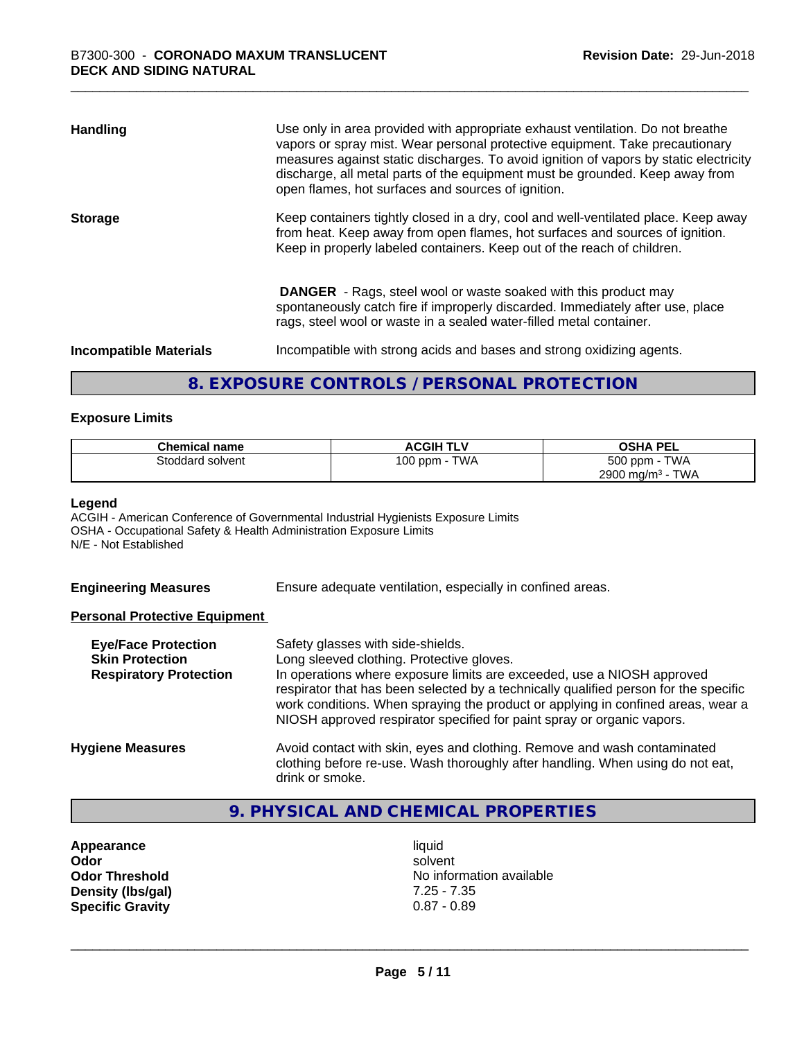| <b>Handling</b>               | Use only in area provided with appropriate exhaust ventilation. Do not breathe<br>vapors or spray mist. Wear personal protective equipment. Take precautionary<br>measures against static discharges. To avoid ignition of vapors by static electricity<br>discharge, all metal parts of the equipment must be grounded. Keep away from<br>open flames, hot surfaces and sources of ignition. |
|-------------------------------|-----------------------------------------------------------------------------------------------------------------------------------------------------------------------------------------------------------------------------------------------------------------------------------------------------------------------------------------------------------------------------------------------|
| <b>Storage</b>                | Keep containers tightly closed in a dry, cool and well-ventilated place. Keep away<br>from heat. Keep away from open flames, hot surfaces and sources of ignition.<br>Keep in properly labeled containers. Keep out of the reach of children.                                                                                                                                                 |
|                               | <b>DANGER</b> - Rags, steel wool or waste soaked with this product may<br>spontaneously catch fire if improperly discarded. Immediately after use, place<br>rags, steel wool or waste in a sealed water-filled metal container.                                                                                                                                                               |
| <b>Incompatible Materials</b> | Incompatible with strong acids and bases and strong oxidizing agents.                                                                                                                                                                                                                                                                                                                         |

# **8. EXPOSURE CONTROLS / PERSONAL PROTECTION**

#### **Exposure Limits**

| <b>Chemical name</b> | <b>ACGIH TLV</b> | <b>OSHA PEL</b>                        |
|----------------------|------------------|----------------------------------------|
| Stoddard solvent     | TWA<br>100 ppm   | 500 ppm -<br><b>TWA</b>                |
|                      |                  | <b>TWA</b><br>2900 mg/m <sup>3</sup> - |

#### **Legend**

ACGIH - American Conference of Governmental Industrial Hygienists Exposure Limits OSHA - Occupational Safety & Health Administration Exposure Limits N/E - Not Established

**Engineering Measures** Ensure adequate ventilation, especially in confined areas.

#### **Personal Protective Equipment**

| <b>Eye/Face Protection</b><br><b>Skin Protection</b><br><b>Respiratory Protection</b> | Safety glasses with side-shields.<br>Long sleeved clothing. Protective gloves.<br>In operations where exposure limits are exceeded, use a NIOSH approved<br>respirator that has been selected by a technically qualified person for the specific<br>work conditions. When spraying the product or applying in confined areas, wear a<br>NIOSH approved respirator specified for paint spray or organic vapors. |
|---------------------------------------------------------------------------------------|----------------------------------------------------------------------------------------------------------------------------------------------------------------------------------------------------------------------------------------------------------------------------------------------------------------------------------------------------------------------------------------------------------------|
| <b>Hygiene Measures</b>                                                               | Avoid contact with skin, eyes and clothing. Remove and wash contaminated<br>clothing before re-use. Wash thoroughly after handling. When using do not eat,<br>drink or smoke.                                                                                                                                                                                                                                  |

# **9. PHYSICAL AND CHEMICAL PROPERTIES**

**Appearance** liquid<br> **Appearance** liquid<br> **Odor** solver **Density (lbs/gal)** 7.25 - 7.35<br>**Specific Gravity** 0.87 - 0.89 **Specific Gravity** 

**Odor** solvent **Odor Threshold** No information available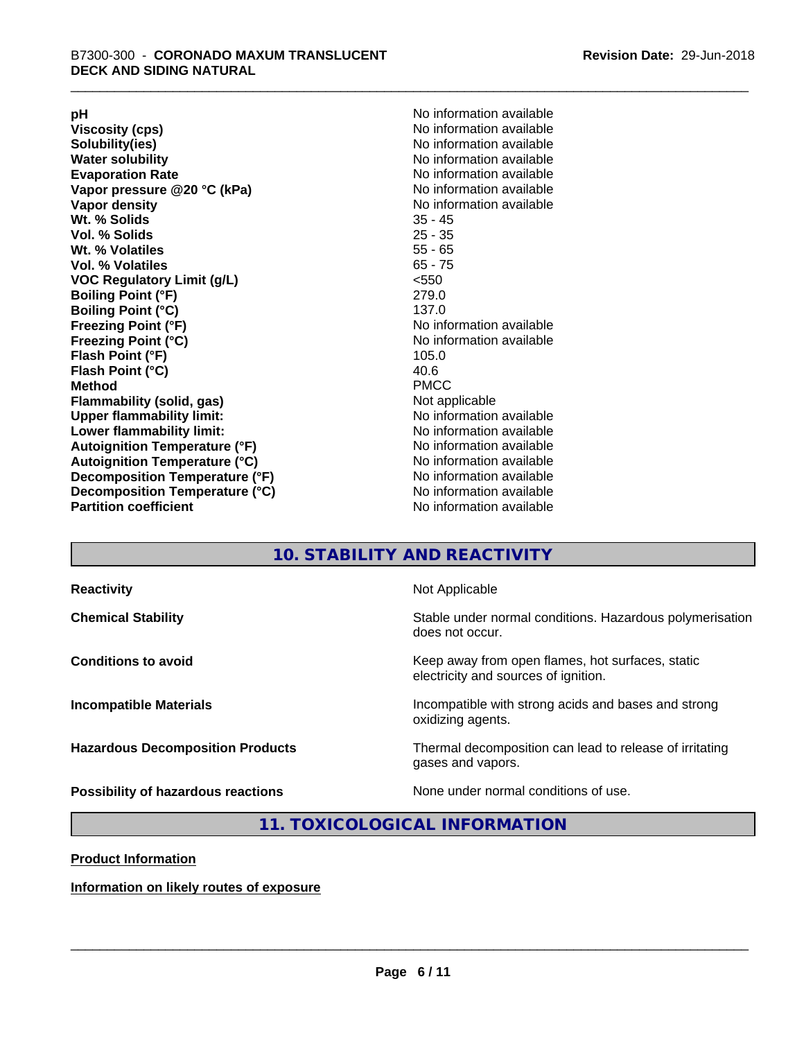**Viscosity (cps)** <br> **Viscosity (cps)** No information available<br>
No information available<br>
No information available **Water solubility**<br> **Evaporation Rate**<br> **Evaporation Rate**<br> **Evaporation Rate Vapor** pressure @20 °C (kPa) **Vapor density No information available Wt. % Solids** 35 - 45 **Vol. % Solids Wt. % Volatiles** 55 - 65 **Vol. % Volatiles** 65 - 75 **VOC Regulatory Limit (g/L)** <550 **Boiling Point (°F)** 279.0 **Boiling Point (°C)**<br>Freezing Point (°F) **Freezing Point (°C)** No information available **Flash Point (°F)** 105.0 **Flash Point (°C)** 40.6 **Method** PMCC **Flammability (solid, gas)** Not applicable **Upper flammability limit:** No information available **Lower flammability limit:** No information available **Autoignition Temperature (°F)** No information available **Autoignition Temperature (°C)** No information available **Decomposition Temperature (°F)**<br> **Decomposition Temperature (°C)** No information available<br>
No information available **Decomposition Temperature (°C)**<br>Partition coefficient

**pH**<br>
Viscosity (cps) The Contract of the Contract of No information available<br>
No information available **Solubility(ies)** No information available No information available<br>No information available **No information available No information available** 

# **10. STABILITY AND REACTIVITY**

| <b>Reactivity</b>                         | Not Applicable                                                                           |
|-------------------------------------------|------------------------------------------------------------------------------------------|
| <b>Chemical Stability</b>                 | Stable under normal conditions. Hazardous polymerisation<br>does not occur.              |
| <b>Conditions to avoid</b>                | Keep away from open flames, hot surfaces, static<br>electricity and sources of ignition. |
| <b>Incompatible Materials</b>             | Incompatible with strong acids and bases and strong<br>oxidizing agents.                 |
| <b>Hazardous Decomposition Products</b>   | Thermal decomposition can lead to release of irritating<br>gases and vapors.             |
| <b>Possibility of hazardous reactions</b> | None under normal conditions of use.                                                     |

### **11. TOXICOLOGICAL INFORMATION**

#### **Product Information**

**Information on likely routes of exposure**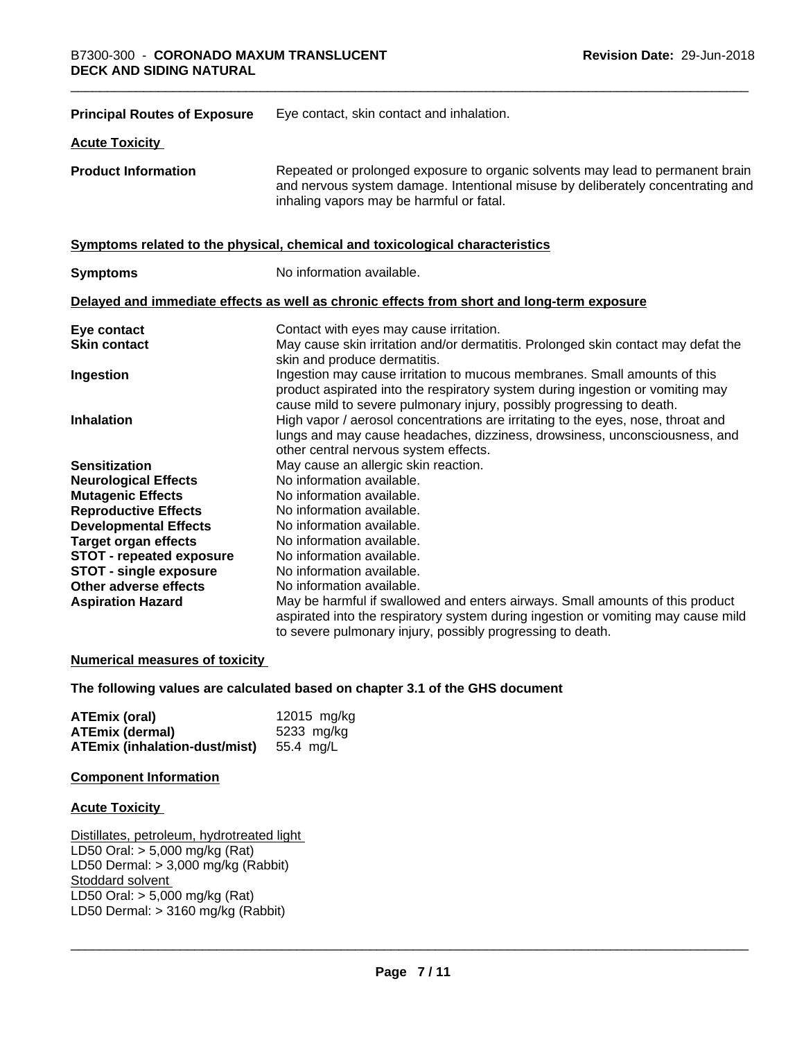| <b>Principal Routes of Exposure</b> | Eye contact, skin contact and inhalation.                                                                                                                                                                                            |
|-------------------------------------|--------------------------------------------------------------------------------------------------------------------------------------------------------------------------------------------------------------------------------------|
| <b>Acute Toxicity</b>               |                                                                                                                                                                                                                                      |
| <b>Product Information</b>          | Repeated or prolonged exposure to organic solvents may lead to permanent brain<br>and nervous system damage. Intentional misuse by deliberately concentrating and<br>inhaling vapors may be harmful or fatal.                        |
|                                     | Symptoms related to the physical, chemical and toxicological characteristics                                                                                                                                                         |
| <b>Symptoms</b>                     | No information available.                                                                                                                                                                                                            |
|                                     | Delayed and immediate effects as well as chronic effects from short and long-term exposure                                                                                                                                           |
| Eye contact                         | Contact with eyes may cause irritation.                                                                                                                                                                                              |
| <b>Skin contact</b>                 | May cause skin irritation and/or dermatitis. Prolonged skin contact may defat the<br>skin and produce dermatitis.                                                                                                                    |
| Ingestion                           | Ingestion may cause irritation to mucous membranes. Small amounts of this<br>product aspirated into the respiratory system during ingestion or vomiting may<br>cause mild to severe pulmonary injury, possibly progressing to death. |
| Inhalation                          | High vapor / aerosol concentrations are irritating to the eyes, nose, throat and<br>lungs and may cause headaches, dizziness, drowsiness, unconsciousness, and<br>other central nervous system effects.                              |
| <b>Sensitization</b>                | May cause an allergic skin reaction.                                                                                                                                                                                                 |
| <b>Neurological Effects</b>         | No information available.                                                                                                                                                                                                            |
| <b>Mutagenic Effects</b>            | No information available.                                                                                                                                                                                                            |
| <b>Reproductive Effects</b>         | No information available.                                                                                                                                                                                                            |
| <b>Developmental Effects</b>        | No information available.                                                                                                                                                                                                            |
| <b>Target organ effects</b>         | No information available.                                                                                                                                                                                                            |
| <b>STOT - repeated exposure</b>     | No information available.                                                                                                                                                                                                            |
| <b>STOT - single exposure</b>       | No information available.                                                                                                                                                                                                            |
| Other adverse effects               | No information available.                                                                                                                                                                                                            |
| <b>Aspiration Hazard</b>            | May be harmful if swallowed and enters airways. Small amounts of this product<br>aspirated into the respiratory system during ingestion or vomiting may cause mild<br>to severe pulmonary injury, possibly progressing to death.     |

#### **Numerical measures of toxicity**

#### **The following values are calculated based on chapter 3.1 of the GHS document**

| ATEmix (oral)                           | 12015 mg/kg |
|-----------------------------------------|-------------|
| <b>ATEmix (dermal)</b>                  | 5233 mg/kg  |
| ATEmix (inhalation-dust/mist) 55.4 mg/L |             |

#### **Component Information**

#### **Acute Toxicity**

Distillates, petroleum, hydrotreated light LD50 Oral: > 5,000 mg/kg (Rat) LD50 Dermal: > 3,000 mg/kg (Rabbit) Stoddard solvent LD50 Oral: > 5,000 mg/kg (Rat) LD50 Dermal:  $> 3160$  mg/kg (Rabbit)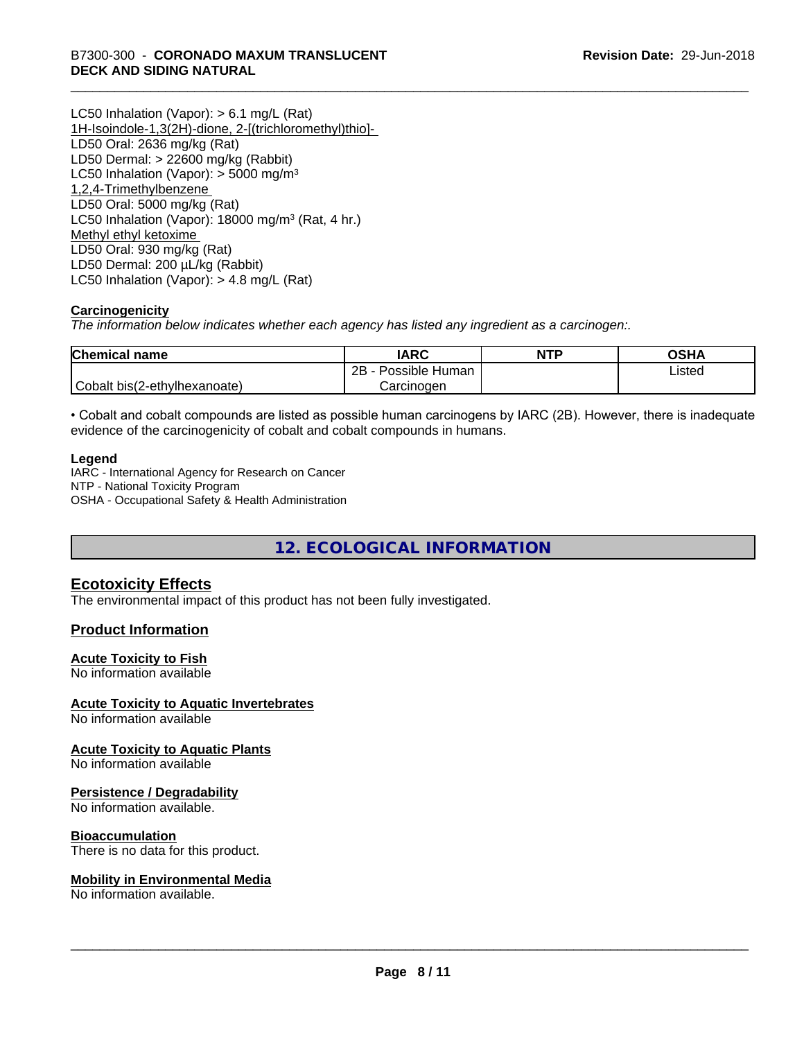LC50 Inhalation (Vapor): > 6.1 mg/L (Rat) 1H-Isoindole-1,3(2H)-dione, 2-[(trichloromethyl)thio]- LD50 Oral: 2636 mg/kg (Rat) LD50 Dermal: > 22600 mg/kg (Rabbit) LC50 Inhalation (Vapor):  $>$  5000 mg/m<sup>3</sup> 1,2,4-Trimethylbenzene LD50 Oral: 5000 mg/kg (Rat) LC50 Inhalation (Vapor): 18000 mg/m<sup>3</sup> (Rat, 4 hr.) Methyl ethyl ketoxime LD50 Oral: 930 mg/kg (Rat) LD50 Dermal: 200 µL/kg (Rabbit) LC50 Inhalation (Vapor): > 4.8 mg/L (Rat)

#### **Carcinogenicity**

*The information below indicateswhether each agency has listed any ingredient as a carcinogen:.*

| <b>Chemical name</b>         | <b>IARC</b>               | <b>NTP</b> | OSHA   |
|------------------------------|---------------------------|------------|--------|
|                              | .<br>2B<br>Possible Human |            | ∟isted |
| Cobalt bis(2-ethylhexanoate) | Carcinoɑen                |            |        |

• Cobalt and cobalt compounds are listed as possible human carcinogens by IARC (2B). However, there is inadequate evidence of the carcinogenicity of cobalt and cobalt compounds in humans.

#### **Legend**

IARC - International Agency for Research on Cancer NTP - National Toxicity Program OSHA - Occupational Safety & Health Administration

**12. ECOLOGICAL INFORMATION**

## **Ecotoxicity Effects**

The environmental impact of this product has not been fully investigated.

#### **Product Information**

#### **Acute Toxicity to Fish**

No information available

#### **Acute Toxicity to Aquatic Invertebrates**

No information available

#### **Acute Toxicity to Aquatic Plants**

No information available

#### **Persistence / Degradability**

No information available.

#### **Bioaccumulation**

There is no data for this product.

#### **Mobility in Environmental Media**

No information available.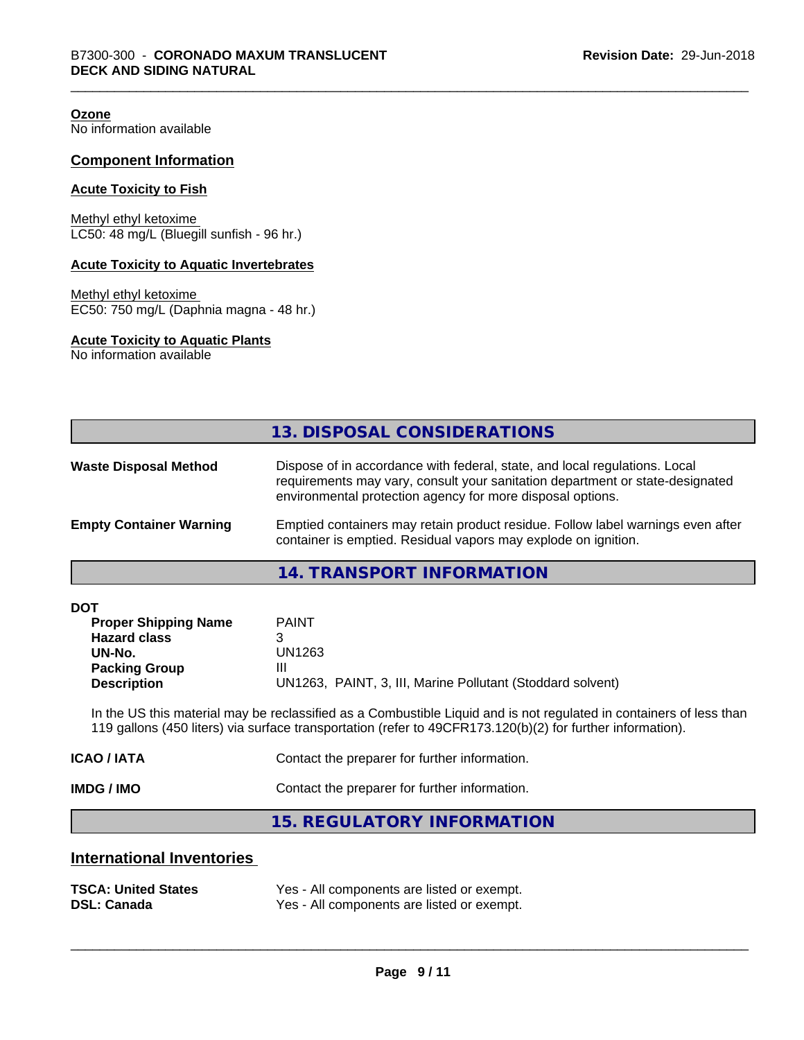**Ozone**

No information available

#### **Component Information**

#### **Acute Toxicity to Fish**

Methyl ethyl ketoxime LC50: 48 mg/L (Bluegill sunfish - 96 hr.)

#### **Acute Toxicity to Aquatic Invertebrates**

Methyl ethyl ketoxime EC50: 750 mg/L (Daphnia magna - 48 hr.)

#### **Acute Toxicity to Aquatic Plants**

No information available

|                                | 13. DISPOSAL CONSIDERATIONS                                                                                                                                                                                               |
|--------------------------------|---------------------------------------------------------------------------------------------------------------------------------------------------------------------------------------------------------------------------|
| <b>Waste Disposal Method</b>   | Dispose of in accordance with federal, state, and local regulations. Local<br>requirements may vary, consult your sanitation department or state-designated<br>environmental protection agency for more disposal options. |
| <b>Empty Container Warning</b> | Emptied containers may retain product residue. Follow label warnings even after<br>container is emptied. Residual vapors may explode on ignition.                                                                         |

#### **14. TRANSPORT INFORMATION**

| <b>DOT</b> |
|------------|
|------------|

| <b>Proper Shipping Name</b> | <b>PAINT</b>                                               |
|-----------------------------|------------------------------------------------------------|
| <b>Hazard class</b>         |                                                            |
| UN-No.                      | UN1263                                                     |
| <b>Packing Group</b>        | Ш                                                          |
| <b>Description</b>          | UN1263, PAINT, 3, III, Marine Pollutant (Stoddard solvent) |

In the US this material may be reclassified as a Combustible Liquid and is not regulated in containers of less than 119 gallons (450 liters) via surface transportation (refer to 49CFR173.120(b)(2) for further information).

| IMDG / IMO  | Contact the preparer for further information. |
|-------------|-----------------------------------------------|
| ICAO / IATA | Contact the preparer for further information. |

**15. REGULATORY INFORMATION**

### **International Inventories**

| <b>TSCA: United States</b> | Yes - All components are listed or exempt. |
|----------------------------|--------------------------------------------|
| <b>DSL: Canada</b>         | Yes - All components are listed or exempt. |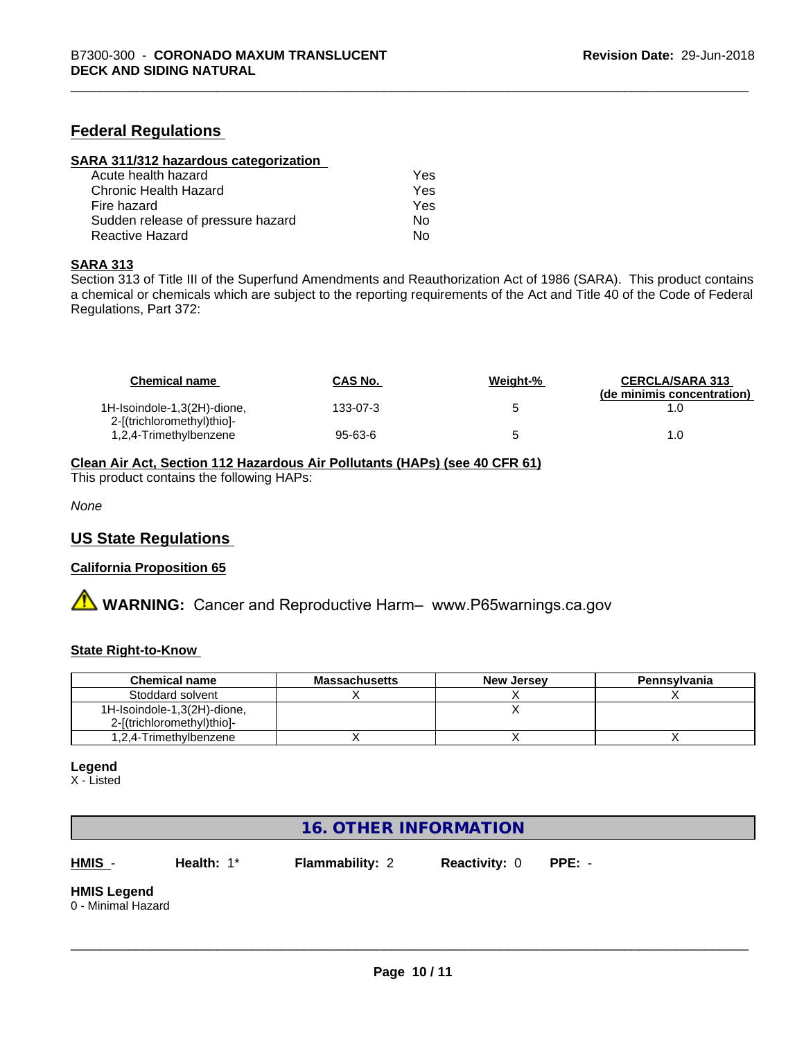### **Federal Regulations**

| SARA 311/312 hazardous categorization |     |  |
|---------------------------------------|-----|--|
| Acute health hazard                   | Yes |  |
| Chronic Health Hazard                 | Yes |  |
| Fire hazard                           | Yes |  |
| Sudden release of pressure hazard     | Nο  |  |
| Reactive Hazard                       | No  |  |

#### **SARA 313**

Section 313 of Title III of the Superfund Amendments and Reauthorization Act of 1986 (SARA). This product contains a chemical or chemicals which are subject to the reporting requirements of the Act and Title 40 of the Code of Federal Regulations, Part 372:

| <b>Chemical name</b>                                      | <b>CAS No.</b> | Weight-% | <b>CERCLA/SARA 313</b><br>(de minimis concentration) |
|-----------------------------------------------------------|----------------|----------|------------------------------------------------------|
| 1H-Isoindole-1,3(2H)-dione,<br>2-[(trichloromethyl)thio]- | 133-07-3       |          |                                                      |
| 1,2,4-Trimethylbenzene                                    | 95-63-6        |          | 1.0                                                  |

#### **Clean Air Act,Section 112 Hazardous Air Pollutants (HAPs) (see 40 CFR 61)**

This product contains the following HAPs:

*None*

#### **US State Regulations**

#### **California Proposition 65**

**A** WARNING: Cancer and Reproductive Harm– www.P65warnings.ca.gov

#### **State Right-to-Know**

| <b>Chemical name</b>        | <b>Massachusetts</b> | <b>New Jersey</b> | Pennsylvania |
|-----------------------------|----------------------|-------------------|--------------|
| Stoddard solvent            |                      |                   |              |
| 1H-Isoindole-1,3(2H)-dione, |                      |                   |              |
| 2-[(trichloromethyl)thio]-  |                      |                   |              |
| 1,2,4-Trimethylbenzene      |                      |                   |              |

#### **Legend**

X - Listed

# **16. OTHER INFORMATION**

**HMIS** - **Health:** 1\* **Flammability:** 2 **Reactivity:** 0 **PPE:** -

 $\overline{\phantom{a}}$  ,  $\overline{\phantom{a}}$  ,  $\overline{\phantom{a}}$  ,  $\overline{\phantom{a}}$  ,  $\overline{\phantom{a}}$  ,  $\overline{\phantom{a}}$  ,  $\overline{\phantom{a}}$  ,  $\overline{\phantom{a}}$  ,  $\overline{\phantom{a}}$  ,  $\overline{\phantom{a}}$  ,  $\overline{\phantom{a}}$  ,  $\overline{\phantom{a}}$  ,  $\overline{\phantom{a}}$  ,  $\overline{\phantom{a}}$  ,  $\overline{\phantom{a}}$  ,  $\overline{\phantom{a}}$ 

# **HMIS Legend**

0 - Minimal Hazard